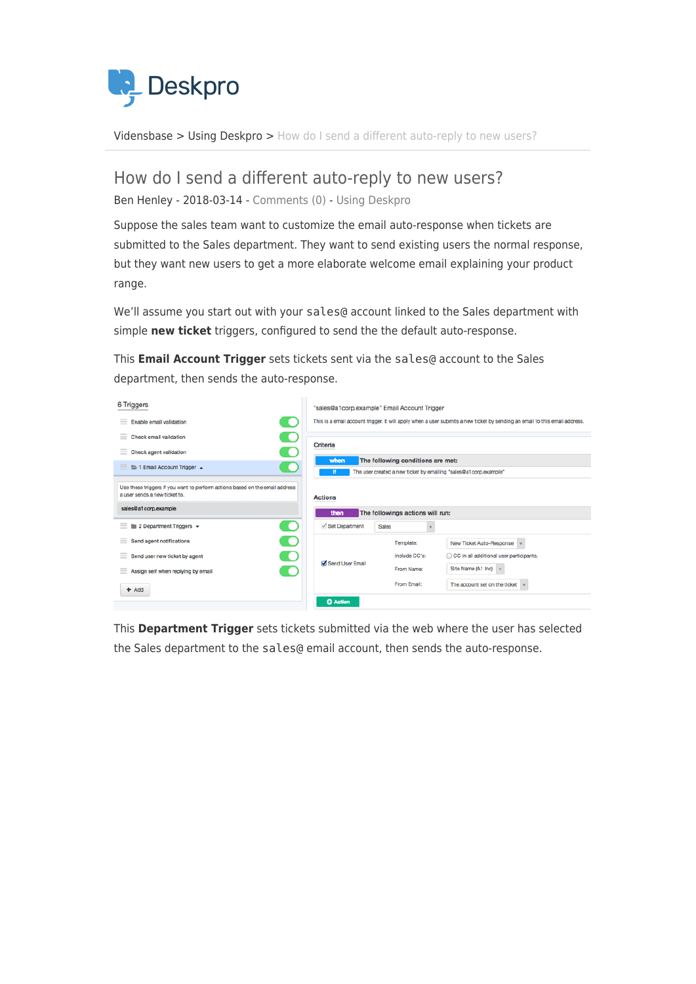

[Vidensbase](https://support.deskpro.com/da/kb) > [Using Deskpro](https://support.deskpro.com/da/kb/using-deskpro) > [How do I send a different auto-reply to new users?](https://support.deskpro.com/da/kb/articles/how-do-i-send-a-different-auto-reply-to-new-users)

## How do I send a different auto-reply to new users?

Ben Henley - 2018-03-14 - [Comments \(0\)](#page--1-0) - [Using Deskpro](https://support.deskpro.com/da/kb/using-deskpro)

Suppose the sales team want to customize the email auto-response when tickets are submitted to the Sales department. They want to send existing users the normal response, but they want new users to get a more elaborate welcome email explaining your product range.

We'll assume you start out with your sales@ account linked to the Sales department with simple **new ticket** triggers, configured to send the the default auto-response.

This **Email Account Trigger** sets tickets sent via the sales@ account to the Sales department, then sends the auto-response.



This **Department Trigger** sets tickets submitted via the web where the user has selected the Sales department to the sales@ email account, then sends the auto-response.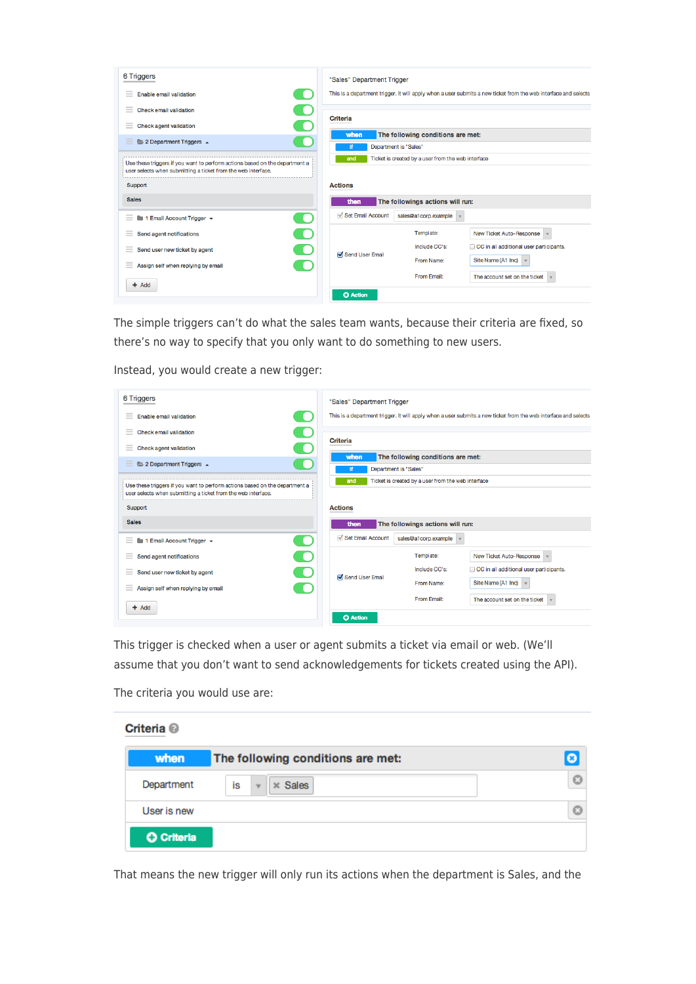| 6 Triggers                                                                                                                                   | "Sales" Department Trigger                                                                                      |  |
|----------------------------------------------------------------------------------------------------------------------------------------------|-----------------------------------------------------------------------------------------------------------------|--|
| $=$<br>Enable email validation                                                                                                               | This is a department trigger. It will apply when a user submits a new ticket from the web interface and selects |  |
| $\equiv$<br>Check email validation                                                                                                           |                                                                                                                 |  |
| <b>Check agent validation</b><br>$=$                                                                                                         | Criteria                                                                                                        |  |
| Ξ<br>2 Department Triggers 4                                                                                                                 | The following conditions are met:<br>when<br>Department is "Sales"<br>i۴                                        |  |
| Use these triggers if you want to perform actions based on the department a<br>user selects when submitting a ticket from the web interface. | Ticket is created by a user from the web interface<br>and                                                       |  |
| Support                                                                                                                                      | <b>Actions</b>                                                                                                  |  |
| <b>Sales</b>                                                                                                                                 | then<br>The followings actions will run:                                                                        |  |
| 1 Email Account Trigger +<br>Ξ<br>. .                                                                                                        | Set Email Account<br>sales@a1corp.example                                                                       |  |
| Send agent notifications<br>≡                                                                                                                | Template:<br>New Ticket Auto-Response                                                                           |  |
| Send user new ticket by agent<br>$=$                                                                                                         | CC in all additional user participants.<br>Include CC's:<br>Send User Email                                     |  |
| Assign self when replying by email<br>$=$                                                                                                    | Site Name (A1 Inc)<br>From Name:                                                                                |  |
| $+$ Add                                                                                                                                      | From Email:<br>The account set on the ticket<br><b>O</b> Action                                                 |  |

The simple triggers can't do what the sales team wants, because their criteria are fixed, so there's no way to specify that you only want to do something to new users.

Instead, you would create a new trigger:

| 6 Triggers                                                                                                                                                                                                                                                                                                                                                                                                                                                                                                  | "Sales" Department Trigger                                                                                      |
|-------------------------------------------------------------------------------------------------------------------------------------------------------------------------------------------------------------------------------------------------------------------------------------------------------------------------------------------------------------------------------------------------------------------------------------------------------------------------------------------------------------|-----------------------------------------------------------------------------------------------------------------|
| Enable email validation<br>$\frac{1}{2} \left( \frac{1}{2} \right) \left( \frac{1}{2} \right) \left( \frac{1}{2} \right)$                                                                                                                                                                                                                                                                                                                                                                                   | This is a department trigger. It will apply when a user submits a new ticket from the web interface and selects |
| <b>Check email validation</b><br>$\frac{1}{2} \left( \frac{1}{2} \right) \left( \frac{1}{2} \right) \left( \frac{1}{2} \right) \left( \frac{1}{2} \right) \left( \frac{1}{2} \right) \left( \frac{1}{2} \right) \left( \frac{1}{2} \right) \left( \frac{1}{2} \right) \left( \frac{1}{2} \right) \left( \frac{1}{2} \right) \left( \frac{1}{2} \right) \left( \frac{1}{2} \right) \left( \frac{1}{2} \right) \left( \frac{1}{2} \right) \left( \frac{1}{2} \right) \left( \frac{1}{2} \right) \left( \frac$ | <b>Criteria</b>                                                                                                 |
| $\blacklozenge$<br><b>Check agent validation</b><br>$=$                                                                                                                                                                                                                                                                                                                                                                                                                                                     |                                                                                                                 |
| 2 Department Triggers $\rightarrow$<br>≡                                                                                                                                                                                                                                                                                                                                                                                                                                                                    | The following conditions are met:<br>when<br>Department is "Sales"                                              |
| Use these triggers if you want to perform actions based on the department a<br>user selects when submitting a ticket from the web interface.                                                                                                                                                                                                                                                                                                                                                                | Ticket is created by a user from the web interface<br>and                                                       |
| Support                                                                                                                                                                                                                                                                                                                                                                                                                                                                                                     | <b>Actions</b>                                                                                                  |
| <b>Sales</b>                                                                                                                                                                                                                                                                                                                                                                                                                                                                                                | The followings actions will run:<br>then                                                                        |
| 1 Email Account Trigger +<br>0<br>≡                                                                                                                                                                                                                                                                                                                                                                                                                                                                         | Set Email Account<br>sales@a1corp.example                                                                       |
| Ξ<br>$\cup$<br>Send agent notifications                                                                                                                                                                                                                                                                                                                                                                                                                                                                     | Template:<br>New Ticket Auto-Response                                                                           |
| Send user new ticket by agent<br>$=$                                                                                                                                                                                                                                                                                                                                                                                                                                                                        | CC in all additional user participants.<br>Include CC's:<br>Send User Email                                     |
| Assign self when replying by email<br>$=$                                                                                                                                                                                                                                                                                                                                                                                                                                                                   | Site Name (A1 Inc)<br>From Name:                                                                                |
| $+$ Add                                                                                                                                                                                                                                                                                                                                                                                                                                                                                                     | From Email:<br>The account set on the ticket                                                                    |
|                                                                                                                                                                                                                                                                                                                                                                                                                                                                                                             | <b>C</b> Action                                                                                                 |

This trigger is checked when a user or agent submits a ticket via email or web. (We'll assume that you don't want to send acknowledgements for tickets created using the API).

The criteria you would use are:

| Criteria <sup>®</sup> |                                            |           |
|-----------------------|--------------------------------------------|-----------|
| when                  | The following conditions are met:          | $\bullet$ |
| Department            | İs<br>$*$ Sales<br>$\overline{\mathbf{v}}$ | O         |
| User is new           |                                            | o         |
| <b>O</b> Criteria     |                                            |           |

That means the new trigger will only run its actions when the department is Sales, and the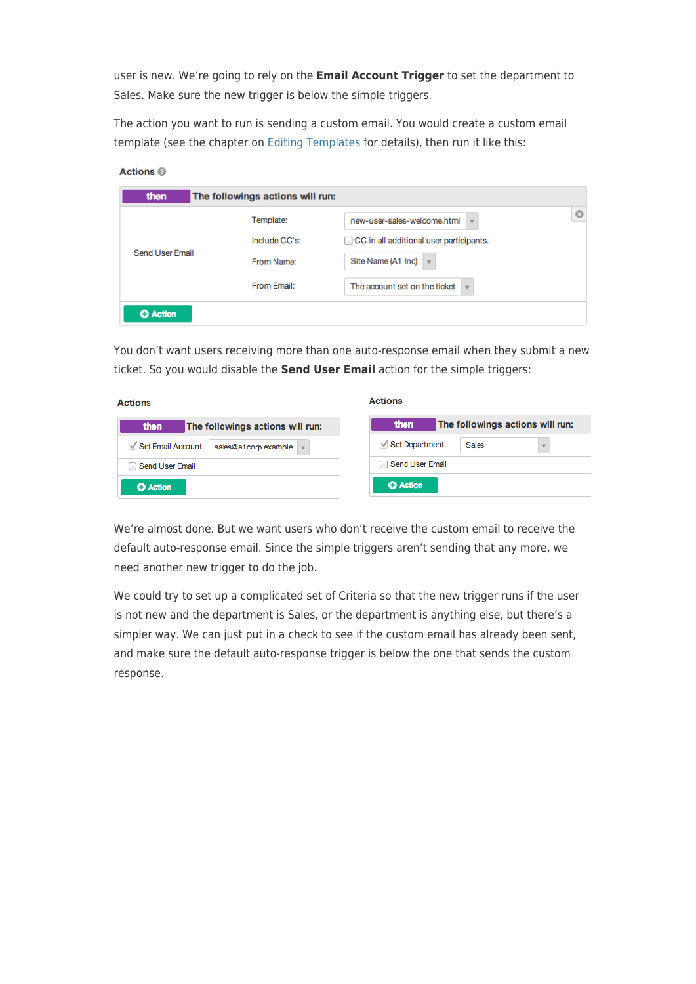user is new. We're going to rely on the **Email Account Trigger** to set the department to Sales. Make sure the new trigger is below the simple triggers.

The action you want to run is sending a custom email. You would create a custom email template (see the chapter on **[Editing Templates](https://support.deskpro.com/guides/topic/398)** for details), then run it like this:

| <b>Actions @</b> |                                  |                                                          |
|------------------|----------------------------------|----------------------------------------------------------|
| then             | The followings actions will run: |                                                          |
|                  | Template:                        | O<br>new-user-sales-welcome.html<br>v                    |
|                  | Include CC's:                    | CC in all additional user participants.                  |
| Send User Email  | From Name:                       | Site Name (A1 Inc)<br>$\overline{\mathbf{v}}$            |
|                  | From Email:                      | The account set on the ticket<br>$\overline{\mathbf{v}}$ |
| <b>C</b> Action  |                                  |                                                          |

You don't want users receiving more than one auto-response email when they submit a new ticket. So you would disable the **Send User Email** action for the simple triggers:

| <b>Actions</b>                            | <b>Actions</b>                           |  |
|-------------------------------------------|------------------------------------------|--|
| then<br>The followings actions will run:  | then<br>The followings actions will run: |  |
| Set Email Account<br>sales@a1corp.example | Set Department<br><b>Sales</b>           |  |
| Send User Email                           | Send User Email                          |  |
| <b>O</b> Action                           | <b>C</b> Action                          |  |

We're almost done. But we want users who don't receive the custom email to receive the default auto-response email. Since the simple triggers aren't sending that any more, we need another new trigger to do the job.

We could try to set up a complicated set of Criteria so that the new trigger runs if the user is not new and the department is Sales, or the department is anything else, but there's a simpler way. We can just put in a check to see if the custom email has already been sent, and make sure the default auto-response trigger is below the one that sends the custom response.